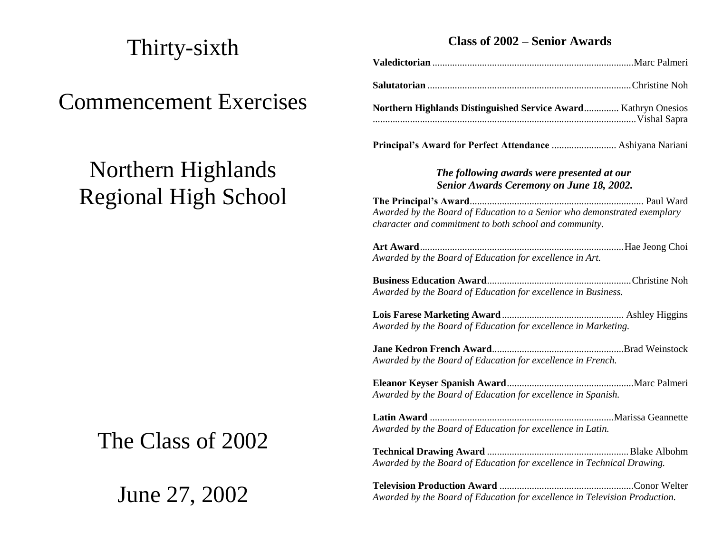## Thirty-sixth

## Commencement Exercises

# Northern Highlands Regional High School

# The Class of 2002

June 27, 2002

### **Class of 2002 – Senior Awards**

| UIASS OL 2002 – DEHIOF AWAFUS                                                                                                      |  |  |
|------------------------------------------------------------------------------------------------------------------------------------|--|--|
|                                                                                                                                    |  |  |
|                                                                                                                                    |  |  |
| Northern Highlands Distinguished Service Award Kathryn Onesios                                                                     |  |  |
|                                                                                                                                    |  |  |
| The following awards were presented at our<br><b>Senior Awards Ceremony on June 18, 2002.</b>                                      |  |  |
| Awarded by the Board of Education to a Senior who demonstrated exemplary<br>character and commitment to both school and community. |  |  |
| Awarded by the Board of Education for excellence in Art.                                                                           |  |  |
| Awarded by the Board of Education for excellence in Business.                                                                      |  |  |
| Awarded by the Board of Education for excellence in Marketing.                                                                     |  |  |
| Awarded by the Board of Education for excellence in French.                                                                        |  |  |
| Awarded by the Board of Education for excellence in Spanish.                                                                       |  |  |
| Awarded by the Board of Education for excellence in Latin.                                                                         |  |  |

**Technical Drawing Award** .........................................................Blake Albohm *Awarded by the Board of Education for excellence in Technical Drawing.*

**Television Production Award** ......................................................Conor Welter *Awarded by the Board of Education for excellence in Television Production.*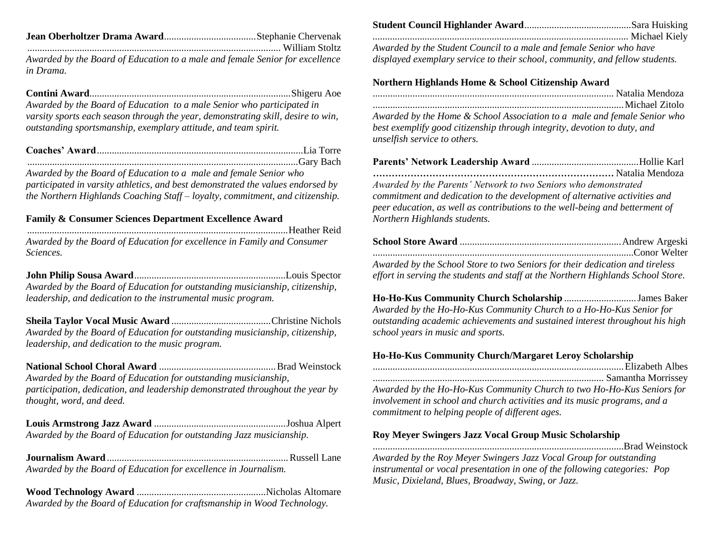|--|--|--|

...................................................................................................... William Stoltz *Awarded by the Board of Education to a male and female Senior for excellence in Drama.*

**Contini Award**.................................................................................Shigeru Aoe *Awarded by the Board of Education to a male Senior who participated in varsity sports each season through the year, demonstrating skill, desire to win, outstanding sportsmanship, exemplary attitude, and team spirit.*

*Awarded by the Board of Education to a male and female Senior who participated in varsity athletics, and best demonstrated the values endorsed by the Northern Highlands Coaching Staff – loyalty, commitment, and citizenship.*

#### **Family & Consumer Sciences Department Excellence Award**

*.........................................................................................................*Heather Reid *Awarded by the Board of Education for excellence in Family and Consumer Sciences.*

**John Philip Sousa Award**.............................................................Louis Spector *Awarded by the Board of Education for outstanding musicianship, citizenship, leadership, and dedication to the instrumental music program.*

**Sheila Taylor Vocal Music Award** ........................................Christine Nichols *Awarded by the Board of Education for outstanding musicianship, citizenship, leadership, and dedication to the music program.*

**National School Choral Award** ...............................................Brad Weinstock *Awarded by the Board of Education for outstanding musicianship, participation, dedication, and leadership demonstrated throughout the year by thought, word, and deed.*

**Louis Armstrong Jazz Award** .....................................................Joshua Alpert *Awarded by the Board of Education for outstanding Jazz musicianship.*

**Journalism Award**.........................................................................Russell Lane *Awarded by the Board of Education for excellence in Journalism.*

**Wood Technology Award** ....................................................Nicholas Altomare *Awarded by the Board of Education for craftsmanship in Wood Technology.*

| Awarded by the Student Council to a male and female Senior who have |  |
|---------------------------------------------------------------------|--|

*displayed exemplary service to their school, community, and fellow students.*

#### **Northern Highlands Home & School Citizenship Award**

*Awarded by the Home & School Association to a male and female Senior who best exemplify good citizenship through integrity, devotion to duty, and unselfish service to others.*

**Parents' Network Leadership Award** ...........................................Hollie Karl ............................................................................. Natalia Mendoza *Awarded by the Parents' Network to two Seniors who demonstrated commitment and dedication to the development of alternative activities and peer education, as well as contributions to the well-being and betterment of Northern Highlands students.*

| Awarded by the School Store to two Seniors for their dedication and tireless     |  |
|----------------------------------------------------------------------------------|--|
| effort in serving the students and staff at the Northern Highlands School Store. |  |

**Ho-Ho-Kus Community Church Scholarship** .............................James Baker *Awarded by the Ho-Ho-Kus Community Church to a Ho-Ho-Kus Senior for outstanding academic achievements and sustained interest throughout his high school years in music and sports.*

#### **Ho-Ho-Kus Community Church/Margaret Leroy Scholarship**

| Awarded by the Ho-Ho-Kus Community Church to two Ho-Ho-Kus Seniors for    |
|---------------------------------------------------------------------------|
| involvement in school and church activities and its music programs, and a |
| commitment to helping people of different ages.                           |

#### **Roy Meyer Swingers Jazz Vocal Group Music Scholarship**

.....................................................................................................Brad Weinstock *Awarded by the Roy Meyer Swingers Jazz Vocal Group for outstanding instrumental or vocal presentation in one of the following categories: Pop Music, Dixieland, Blues, Broadway, Swing, or Jazz.*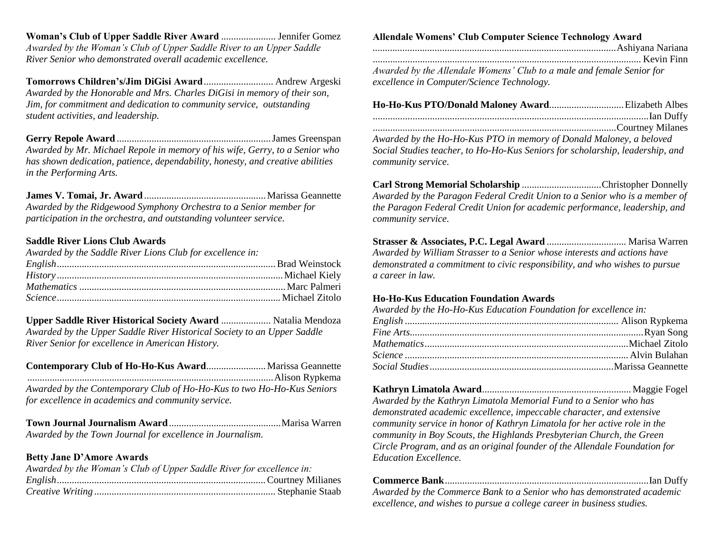**Woman's Club of Upper Saddle River Award** ...................... Jennifer Gomez *Awarded by the Woman's Club of Upper Saddle River to an Upper Saddle River Senior who demonstrated overall academic excellence.*

**Tomorrows Children's/Jim DiGisi Award**............................ Andrew Argeski *Awarded by the Honorable and Mrs. Charles DiGisi in memory of their son, Jim, for commitment and dedication to community service, outstanding student activities, and leadership.*

**Gerry Repole Award** ..............................................................James Greenspan *Awarded by Mr. Michael Repole in memory of his wife, Gerry, to a Senior who has shown dedication, patience, dependability, honesty, and creative abilities in the Performing Arts.*

**James V. Tomai, Jr. Award**.................................................Marissa Geannette *Awarded by the Ridgewood Symphony Orchestra to a Senior member for participation in the orchestra, and outstanding volunteer service.*

#### **Saddle River Lions Club Awards**

| Awarded by the Saddle River Lions Club for excellence in: |  |
|-----------------------------------------------------------|--|
|                                                           |  |
|                                                           |  |
|                                                           |  |
|                                                           |  |

**Upper Saddle River Historical Society Award** .................... Natalia Mendoza *Awarded by the Upper Saddle River Historical Society to an Upper Saddle River Senior for excellence in American History.*

| Awarded by the Contemporary Club of Ho-Ho-Kus to two Ho-Ho-Kus Seniors |  |
|------------------------------------------------------------------------|--|
| for excellence in academics and community service.                     |  |

**Town Journal Journalism Award**.............................................Marisa Warren *Awarded by the Town Journal for excellence in Journalism.*

#### **Betty Jane D'Amore Awards**

| Awarded by the Woman's Club of Upper Saddle River for excellence in: |  |
|----------------------------------------------------------------------|--|
|                                                                      |  |
|                                                                      |  |
|                                                                      |  |

### **Allendale Womens' Club Computer Science Technology Award**

| Awarded by the Allendale Womens' Club to a male and female Senior for |
|-----------------------------------------------------------------------|
| excellence in Computer/Science Technology.                            |

| Awarded by the Ho-Ho-Kus PTO in memory of Donald Maloney, a beloved           |  |
|-------------------------------------------------------------------------------|--|
| Social Studies teacher, to Ho-Ho-Kus Seniors for scholarship, leadership, and |  |

*community service.*

**Carl Strong Memorial Scholarship** ................................Christopher Donnelly *Awarded by the Paragon Federal Credit Union to a Senior who is a member of the Paragon Federal Credit Union for academic performance, leadership, and community service.*

**Strasser & Associates, P.C. Legal Award** ................................ Marisa Warren *Awarded by William Strasser to a Senior whose interests and actions have demonstrated a commitment to civic responsibility, and who wishes to pursue a career in law.*

#### **Ho-Ho-Kus Education Foundation Awards**

| Awarded by the Ho-Ho-Kus Education Foundation for excellence in: |  |
|------------------------------------------------------------------|--|
|                                                                  |  |
|                                                                  |  |
|                                                                  |  |
|                                                                  |  |
|                                                                  |  |

**Kathryn Limatola Award**............................................................Maggie Fogel *Awarded by the Kathryn Limatola Memorial Fund to a Senior who has demonstrated academic excellence, impeccable character, and extensive community service in honor of Kathryn Limatola for her active role in the community in Boy Scouts, the Highlands Presbyterian Church, the Green Circle Program, and as an original founder of the Allendale Foundation for Education Excellence.*

| Awarded by the Commerce Bank to a Senior who has demonstrated academic |  |
|------------------------------------------------------------------------|--|
| excellence, and wishes to pursue a college career in business studies. |  |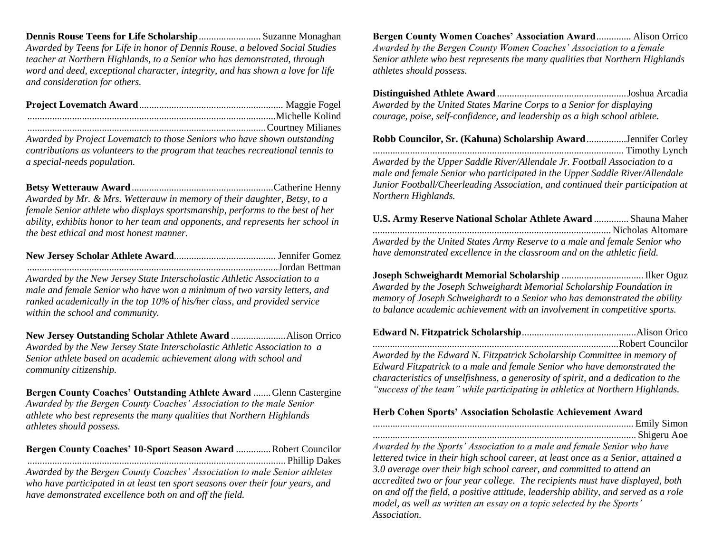**Dennis Rouse Teens for Life Scholarship**......................... Suzanne Monaghan *Awarded by Teens for Life in honor of Dennis Rouse, a beloved Social Studies teacher at Northern Highlands, to a Senior who has demonstrated, through word and deed, exceptional character, integrity, and has shown a love for life and consideration for others.*

**Project Lovematch Award**.......................................................... Maggie Fogel ....................................................................................................Michelle Kolind ................................................................................................Courtney Milianes

*Awarded by Project Lovematch to those Seniors who have shown outstanding contributions as volunteers to the program that teaches recreational tennis to a special-needs population.*

**Betsy Wetterauw Award**.........................................................Catherine Henny *Awarded by Mr. & Mrs. Wetterauw in memory of their daughter, Betsy, to a female Senior athlete who displays sportsmanship, performs to the best of her ability, exhibits honor to her team and opponents, and represents her school in the best ethical and most honest manner.*

**New Jersey Scholar Athlete Award**......................................... Jennifer Gomez *.....................................................................................................*Jordan Bettman *Awarded by the New Jersey State Interscholastic Athletic Association to a male and female Senior who have won a minimum of two varsity letters, and ranked academically in the top 10% of his/her class, and provided service within the school and community.*

**New Jersey Outstanding Scholar Athlete Award** ......................Alison Orrico *Awarded by the New Jersey State Interscholastic Athletic Association to a Senior athlete based on academic achievement along with school and community citizenship.*

**Bergen County Coaches' Outstanding Athlete Award ....... Glenn Castergine** *Awarded by the Bergen County Coaches' Association to the male Senior athlete who best represents the many qualities that Northern Highlands athletes should possess.*

**Bergen County Coaches' 10-Sport Season Award** ..............Robert Councilor ........................................................................................................ Phillip Dakes

*Awarded by the Bergen County Coaches' Association to male Senior athletes who have participated in at least ten sport seasons over their four years, and have demonstrated excellence both on and off the field.*

**Bergen County Women Coaches' Association Award**.............. Alison Orrico *Awarded by the Bergen County Women Coaches' Association to a female Senior athlete who best represents the many qualities that Northern Highlands athletes should possess.*

**Distinguished Athlete Award** ....................................................Joshua Arcadia *Awarded by the United States Marine Corps to a Senior for displaying courage, poise, self-confidence, and leadership as a high school athlete.*

**Robb Councilor, Sr. (Kahuna) Scholarship Award**................Jennifer Corley ..................................................................................................... Timothy Lynch *Awarded by the Upper Saddle River/Allendale Jr. Football Association to a male and female Senior who participated in the Upper Saddle River/Allendale Junior Football/Cheerleading Association, and continued their participation at Northern Highlands.*

**U.S. Army Reserve National Scholar Athlete Award** .............. Shauna Maher *................................................................................................*Nicholas Altomare *Awarded by the United States Army Reserve to a male and female Senior who have demonstrated excellence in the classroom and on the athletic field.*

**Joseph Schweighardt Memorial Scholarship** .................................Ilker Oguz *Awarded by the Joseph Schweighardt Memorial Scholarship Foundation in memory of Joseph Schweighardt to a Senior who has demonstrated the ability to balance academic achievement with an involvement in competitive sports.*

| Awarded by the Edward N. Fitzpatrick Scholarship Committee in memory of           |  |
|-----------------------------------------------------------------------------------|--|
| Edward Fitzpatrick to a male and female Senior who have demonstrated the          |  |
| characteristics of unselfishness, a generosity of spirit, and a dedication to the |  |
| "success of the team" while participating in athletics at Northern Highlands.     |  |

#### **Herb Cohen Sports' Association Scholastic Achievement Award**

......................................................................................................... Emily Simon .......................................................................................................... Shigeru Aoe *Awarded by the Sports' Association to a male and female Senior who have lettered twice in their high school career, at least once as a Senior, attained a 3.0 average over their high school career, and committed to attend an accredited two or four year college. The recipients must have displayed, both on and off the field, a positive attitude, leadership ability, and served as a role model, as well as written an essay on a topic selected by the Sports' Association.*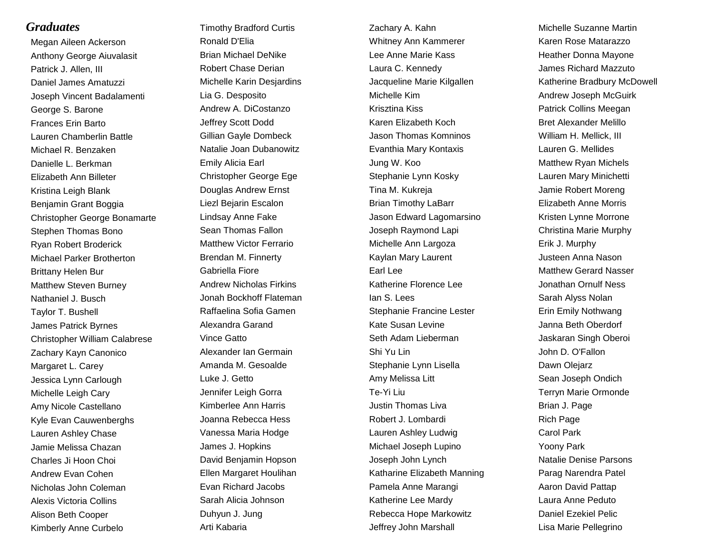### *Graduates*

Megan Aileen Ackerson Anthony George Aiuvalasit Patrick J. Allen, III Daniel James Amatuzzi Joseph Vincent Badalamenti George S. Barone Frances Erin Barto Lauren Chamberlin Battle Michael R. Benzaken Danielle L. Berkman Elizabeth Ann Billeter Kristina Leigh Blank Benjamin Grant Boggia Christopher George Bonamarte Stephen Thomas Bono Ryan Robert Broderick Michael Parker Brotherton Brittany Helen Bur Matthew Steven Burney Nathaniel J. Busch Taylor T. Bushell James Patrick Byrnes Christopher William Calabrese Zachary Kayn Canonico Margaret L. Carey Jessica Lynn Carlough Michelle Leigh Cary Amy Nicole Castellano Kyle Evan Cauwenberghs Lauren Ashley Chase Jamie Melissa Chazan Charles Ji Hoon Choi Andrew Evan Cohen Nicholas John Coleman Alexis Victoria Collins Alison Beth Cooper Kimberly Anne Curbelo

Timothy Bradford Curtis Ronald D'Elia Brian Michael DeNike Robert Chase Derian Michelle Karin Desjardins Lia G. Desposito Andrew A. DiCostanzo Jeffrey Scott Dodd Gillian Gayle Dombeck Natalie Joan Dubanowitz Emily Alicia Earl Christopher George Ege Douglas Andrew Ernst Liezl Bejarin Escalon Lindsay Anne Fake Sean Thomas Fallon Matthew Victor Ferrario Brendan M. Finnerty Gabriella Fiore Andrew Nicholas Firkins Jonah Bockhoff Flateman Raffaelina Sofia Gamen Alexandra Garand Vince Gatto Alexander Ian Germain Amanda M. Gesoalde Luke J. Getto Jennifer Leigh Gorra Kimberlee Ann Harris Joanna Rebecca Hess Vanessa Maria Hodge James J. Hopkins David Benjamin Hopson Ellen Margaret Houlihan Evan Richard Jacobs Sarah Alicia Johnson Duhyun J. Jung Arti Kabaria

Zachary A. Kahn Whitney Ann Kammerer Lee Anne Marie Kass Laura C. Kennedy Jacqueline Marie Kilgallen Michelle Kim Krisztina Kiss Karen Elizabeth Koch Jason Thomas Komninos Evanthia Mary Kontaxis Jung W. Koo Stephanie Lynn Kosky Tina M. Kukreja Brian Timothy LaBarr Jason Edward Lagomarsino Joseph Raymond Lapi Michelle Ann Largoza Kaylan Mary Laurent Earl Lee Katherine Florence Lee Ian S. Lees Stephanie Francine Lester Kate Susan Levine Seth Adam Lieberman Shi Yu Lin Stephanie Lynn Lisella Amy Melissa Litt Te-Yi Liu Justin Thomas Liva Robert J. Lombardi Lauren Ashley Ludwig Michael Joseph Lupino Joseph John Lynch Katharine Elizabeth Manning Pamela Anne Marangi Katherine Lee Mardy Rebecca Hope Markowitz Jeffrey John Marshall

Michelle Suzanne Martin Karen Rose Matarazzo Heather Donna Mayone James Richard Mazzuto Katherine Bradbury McDowell Andrew Joseph McGuirk Patrick Collins Meegan Bret Alexander Melillo William H. Mellick, III Lauren G. Mellides Matthew Ryan Michels Lauren Mary Minichetti Jamie Robert Moreng Elizabeth Anne Morris Kristen Lynne Morrone Christina Marie Murphy Erik J. Murphy Justeen Anna Nason Matthew Gerard Nasser Jonathan Ornulf Ness Sarah Alyss Nolan Erin Emily Nothwang Janna Beth Oberdorf Jaskaran Singh Oberoi John D. O'Fallon Dawn Olejarz Sean Joseph Ondich Terryn Marie Ormonde Brian J. Page Rich Page Carol Park Yoony Park Natalie Denise Parsons Parag Narendra Patel Aaron David Pattap Laura Anne Peduto Daniel Ezekiel Pelic Lisa Marie Pellegrino